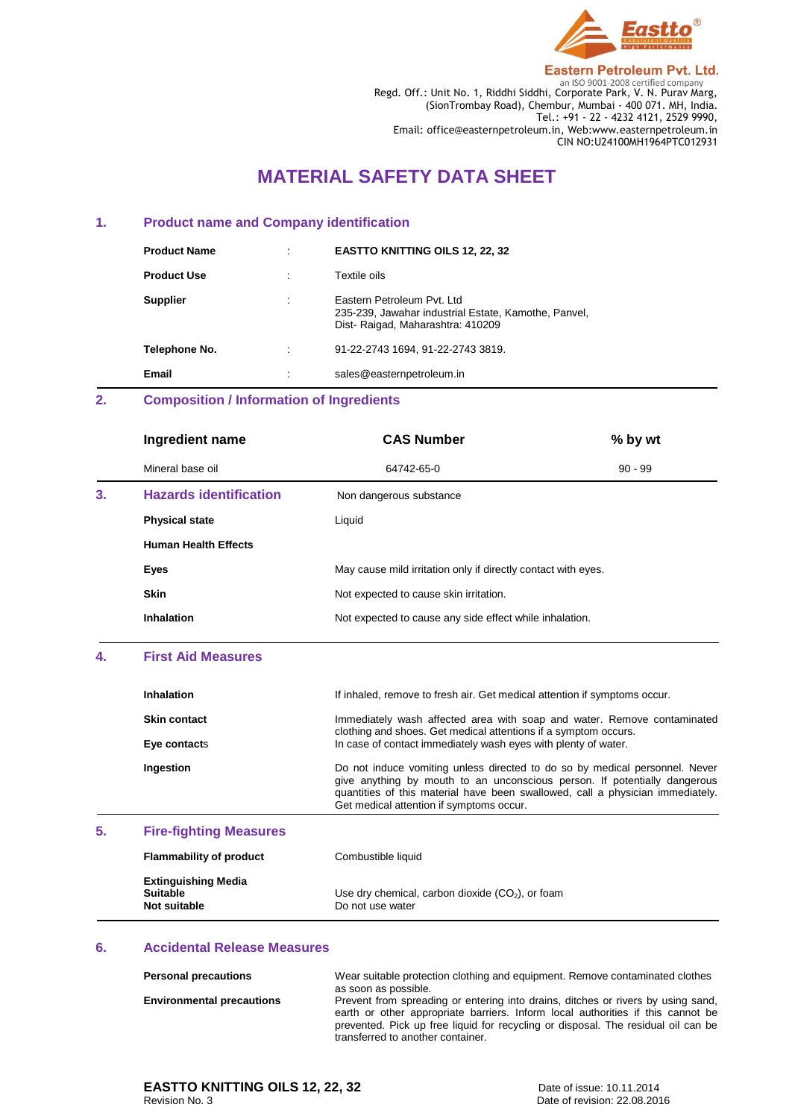

**Eastern Petroleum Pvt. Ltd.** 

**ENDENSE 2008**<br>Regd. Off.: Unit No. 1, Riddhi Siddhi, Corporate Park, V. N. Purav Marg, (SionTrombay Road), Chembur, Mumbai - 400 071. MH, India. Tel.: +91 - 22 - 4232 4121, 2529 9990, Email: office@easternpetroleum.in, Web:www.easternpetroleum.in CIN NO:U24100MH1964PTC012931

# **MATERIAL SAFETY DATA SHEET**

#### **1. Product name and Company identification**

| <b>Product Name</b> | $\bullet$ | <b>EASTTO KNITTING OILS 12, 22, 32</b>                                                                                  |
|---------------------|-----------|-------------------------------------------------------------------------------------------------------------------------|
| <b>Product Use</b>  |           | Textile oils                                                                                                            |
| <b>Supplier</b>     | $\cdot$   | Eastern Petroleum Pyt. Ltd.<br>235-239, Jawahar industrial Estate, Kamothe, Panvel,<br>Dist-Raigad, Maharashtra: 410209 |
| Telephone No.       | ٠         | 91-22-2743 1694, 91-22-2743 3819.                                                                                       |
| Email               | $\cdot$   | sales@easternpetroleum.in                                                                                               |

## **2. Composition / Information of Ingredients**

|    | Ingredient name               | <b>CAS Number</b>                                             | % by wt   |
|----|-------------------------------|---------------------------------------------------------------|-----------|
|    | Mineral base oil              | 64742-65-0                                                    | $90 - 99$ |
| 3. | <b>Hazards identification</b> | Non dangerous substance                                       |           |
|    | <b>Physical state</b>         | Liquid                                                        |           |
|    | <b>Human Health Effects</b>   |                                                               |           |
|    | Eyes                          | May cause mild irritation only if directly contact with eyes. |           |
|    | <b>Skin</b>                   | Not expected to cause skin irritation.                        |           |
|    | Inhalation                    | Not expected to cause any side effect while inhalation.       |           |
|    |                               |                                                               |           |

### **4. First Aid Measures**

| Inhalation                    | If inhaled, remove to fresh air. Get medical attention if symptoms occur.                                                                                                                                                                                                              |
|-------------------------------|----------------------------------------------------------------------------------------------------------------------------------------------------------------------------------------------------------------------------------------------------------------------------------------|
| <b>Skin contact</b>           | Immediately wash affected area with soap and water. Remove contaminated<br>clothing and shoes. Get medical attentions if a symptom occurs.                                                                                                                                             |
| Eye contacts                  | In case of contact immediately wash eyes with plenty of water.                                                                                                                                                                                                                         |
| Ingestion                     | Do not induce vomiting unless directed to do so by medical personnel. Never<br>give anything by mouth to an unconscious person. If potentially dangerous<br>quantities of this material have been swallowed, call a physician immediately.<br>Get medical attention if symptoms occur. |
| <b>Fire-fighting Measures</b> |                                                                                                                                                                                                                                                                                        |

#### **5. Fire-fighting Measures**

| <b>Flammability of product</b>                                | Combustible liquid                                                     |
|---------------------------------------------------------------|------------------------------------------------------------------------|
| <b>Extinguishing Media</b><br><b>Suitable</b><br>Not suitable | Use dry chemical, carbon dioxide $(CO2)$ , or foam<br>Do not use water |

#### **6. Accidental Release Measures**

| <b>Personal precautions</b>      | Wear suitable protection clothing and equipment. Remove contaminated clothes<br>as soon as possible.                                                                                                                                                                                          |
|----------------------------------|-----------------------------------------------------------------------------------------------------------------------------------------------------------------------------------------------------------------------------------------------------------------------------------------------|
| <b>Environmental precautions</b> | Prevent from spreading or entering into drains, ditches or rivers by using sand,<br>earth or other appropriate barriers. Inform local authorities if this cannot be<br>prevented. Pick up free liquid for recycling or disposal. The residual oil can be<br>transferred to another container. |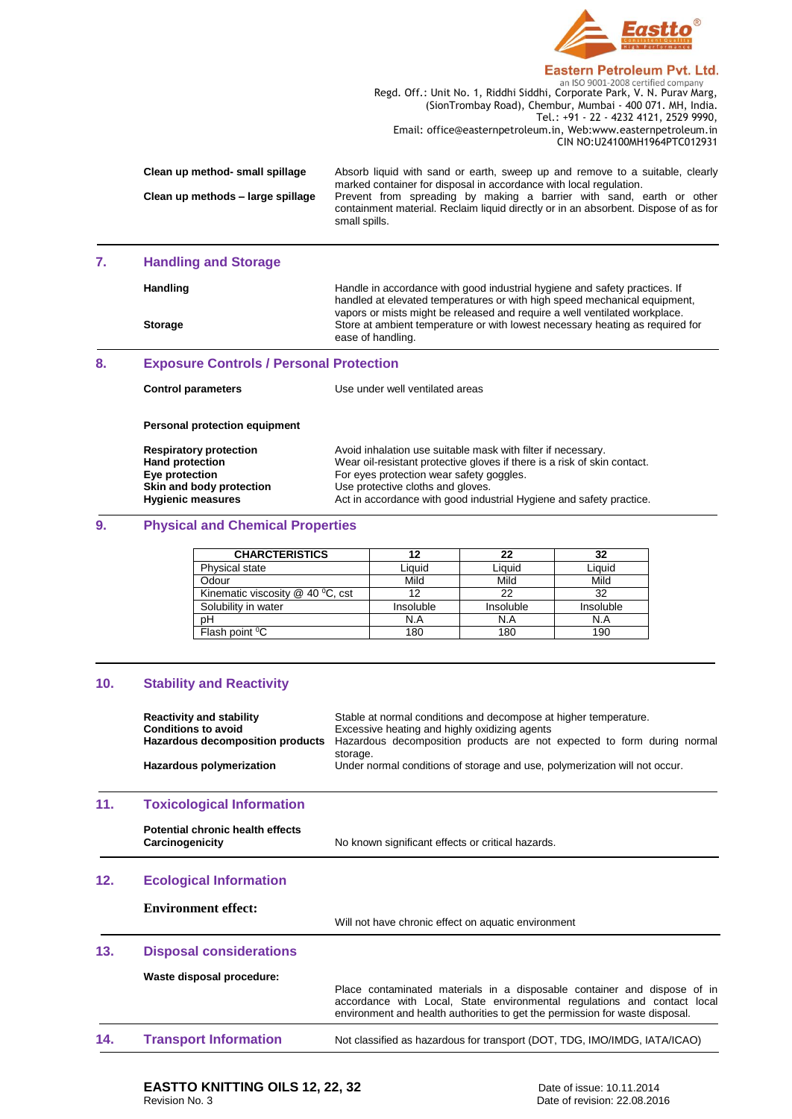

#### Eastern Petroleum Pvt. Ltd.

**ENDENSE 2008**<br>Regd. Off.: Unit No. 1, Riddhi Siddhi, Corporate Park, V. N. Purav Marg, (SionTrombay Road), Chembur, Mumbai - 400 071. MH, India. Tel.: +91 - 22 - 4232 4121, 2529 9990, Email: office@easternpetroleum.in, Web:www.easternpetroleum.in CIN NO:U24100MH1964PTC012931

| Clean up method- small spillage   | Absorb liquid with sand or earth, sweep up and remove to a suitable, clearly        |
|-----------------------------------|-------------------------------------------------------------------------------------|
|                                   | marked container for disposal in accordance with local regulation.                  |
| Clean up methods - large spillage | Prevent from spreading by making a barrier with sand, earth or other                |
|                                   | containment material. Reclaim liquid directly or in an absorbent. Dispose of as for |
|                                   | small spills.                                                                       |

## **7. Handling and Storage**

| <b>Handling</b> | Handle in accordance with good industrial hygiene and safety practices. If<br>handled at elevated temperatures or with high speed mechanical equipment,<br>vapors or mists might be released and require a well ventilated workplace. |
|-----------------|---------------------------------------------------------------------------------------------------------------------------------------------------------------------------------------------------------------------------------------|
| <b>Storage</b>  | Store at ambient temperature or with lowest necessary heating as required for<br>ease of handling.                                                                                                                                    |

#### **8. Exposure Controls / Personal Protection**

| <b>Control parameters</b>     | Use under well ventilated areas                                          |
|-------------------------------|--------------------------------------------------------------------------|
| Personal protection equipment |                                                                          |
| <b>Respiratory protection</b> | Avoid inhalation use suitable mask with filter if necessary.             |
| <b>Hand protection</b>        | Wear oil-resistant protective gloves if there is a risk of skin contact. |
| Eye protection                | For eyes protection wear safety goggles.                                 |
| Skin and body protection      | Use protective cloths and gloves.                                        |
| <b>Hygienic measures</b>      | Act in accordance with good industrial Hygiene and safety practice.      |

## **9. Physical and Chemical Properties**

| <b>CHARCTERISTICS</b>              |           | 22        | 32        |
|------------------------------------|-----------|-----------|-----------|
| <b>Physical state</b>              | Liauid    | Liquid    | Liauid    |
| Odour                              | Mild      | Mild      | Mild      |
| Kinematic viscosity $@$ 40 °C, cst |           | 22        | 32        |
| Solubility in water                | Insoluble | Insoluble | Insoluble |
| pН                                 | N.A       | N.A       | N.A       |
| Flash point <sup>o</sup> C         | 180       | 180       | 190       |

#### **10. Stability and Reactivity**

|     | <b>Reactivity and stability</b><br><b>Conditions to avoid</b><br>Hazardous decomposition products<br>Hazardous polymerization | Stable at normal conditions and decompose at higher temperature.<br>Excessive heating and highly oxidizing agents<br>Hazardous decomposition products are not expected to form during normal<br>storage.<br>Under normal conditions of storage and use, polymerization will not occur. |
|-----|-------------------------------------------------------------------------------------------------------------------------------|----------------------------------------------------------------------------------------------------------------------------------------------------------------------------------------------------------------------------------------------------------------------------------------|
| 11. | <b>Toxicological Information</b>                                                                                              |                                                                                                                                                                                                                                                                                        |
|     | <b>Potential chronic health effects</b><br>Carcinogenicity                                                                    | No known significant effects or critical hazards.                                                                                                                                                                                                                                      |
| 12. | <b>Ecological Information</b>                                                                                                 |                                                                                                                                                                                                                                                                                        |
|     | <b>Environment effect:</b>                                                                                                    | Will not have chronic effect on aquatic environment                                                                                                                                                                                                                                    |
| 13. | <b>Disposal considerations</b>                                                                                                |                                                                                                                                                                                                                                                                                        |
|     | Waste disposal procedure:                                                                                                     | Place contaminated materials in a disposable container and dispose of in<br>accordance with Local, State environmental regulations and contact local<br>environment and health authorities to get the permission for waste disposal.                                                   |
| 14. | <b>Transport Information</b>                                                                                                  | Not classified as hazardous for transport (DOT, TDG, IMO/IMDG, IATA/ICAO)                                                                                                                                                                                                              |